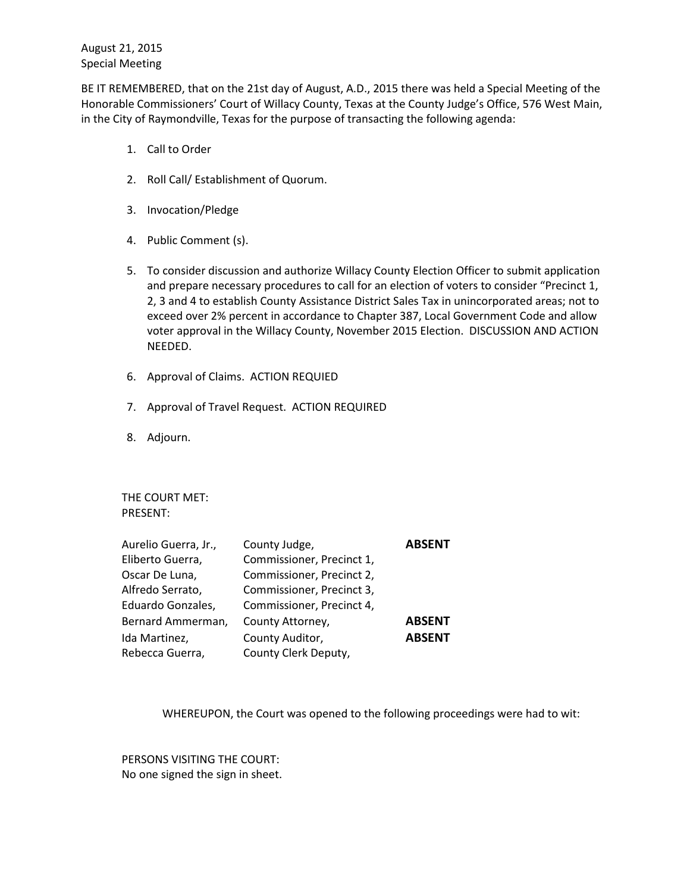August 21, 2015 Special Meeting

BE IT REMEMBERED, that on the 21st day of August, A.D., 2015 there was held a Special Meeting of the Honorable Commissioners' Court of Willacy County, Texas at the County Judge's Office, 576 West Main, in the City of Raymondville, Texas for the purpose of transacting the following agenda:

- 1. Call to Order
- 2. Roll Call/ Establishment of Quorum.
- 3. Invocation/Pledge
- 4. Public Comment (s).
- 5. To consider discussion and authorize Willacy County Election Officer to submit application and prepare necessary procedures to call for an election of voters to consider "Precinct 1, 2, 3 and 4 to establish County Assistance District Sales Tax in unincorporated areas; not to exceed over 2% percent in accordance to Chapter 387, Local Government Code and allow voter approval in the Willacy County, November 2015 Election. DISCUSSION AND ACTION NEEDED.
- 6. Approval of Claims. ACTION REQUIED
- 7. Approval of Travel Request. ACTION REQUIRED
- 8. Adjourn.

THE COURT MET: PRESENT:

| Aurelio Guerra, Jr., | County Judge,             | <b>ABSENT</b> |
|----------------------|---------------------------|---------------|
| Eliberto Guerra,     | Commissioner, Precinct 1, |               |
| Oscar De Luna,       | Commissioner, Precinct 2, |               |
| Alfredo Serrato,     | Commissioner, Precinct 3, |               |
| Eduardo Gonzales,    | Commissioner, Precinct 4, |               |
| Bernard Ammerman,    | County Attorney,          | <b>ABSENT</b> |
| Ida Martinez,        | County Auditor,           | <b>ABSENT</b> |
| Rebecca Guerra,      | County Clerk Deputy,      |               |

WHEREUPON, the Court was opened to the following proceedings were had to wit:

PERSONS VISITING THE COURT: No one signed the sign in sheet.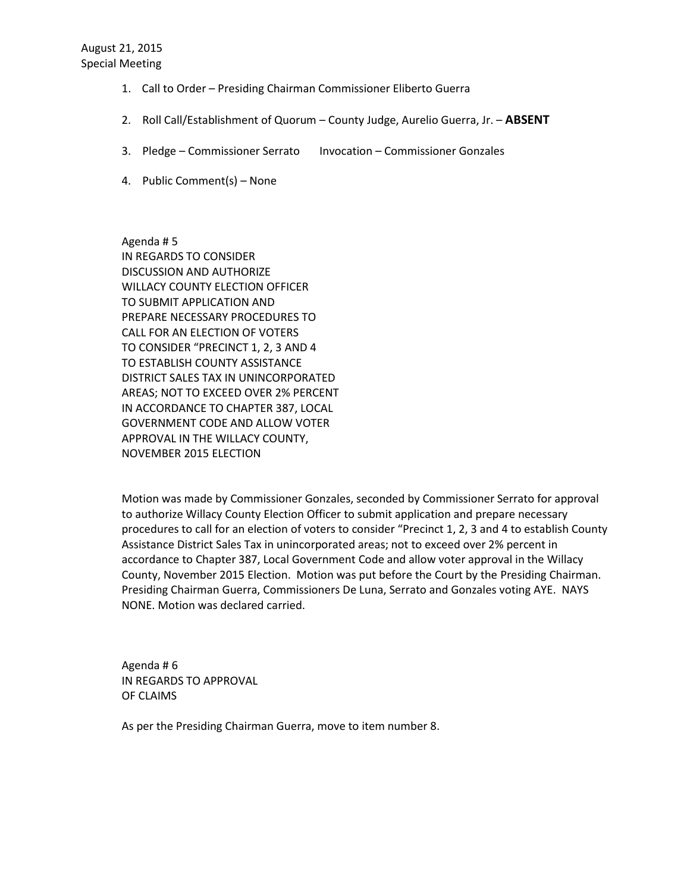August 21, 2015 Special Meeting

- 1. Call to Order Presiding Chairman Commissioner Eliberto Guerra
- 2. Roll Call/Establishment of Quorum County Judge, Aurelio Guerra, Jr. **ABSENT**
- 3. Pledge Commissioner Serrato Invocation Commissioner Gonzales
- 4. Public Comment(s) None

Agenda # 5 IN REGARDS TO CONSIDER DISCUSSION AND AUTHORIZE WILLACY COUNTY ELECTION OFFICER TO SUBMIT APPLICATION AND PREPARE NECESSARY PROCEDURES TO CALL FOR AN ELECTION OF VOTERS TO CONSIDER "PRECINCT 1, 2, 3 AND 4 TO ESTABLISH COUNTY ASSISTANCE DISTRICT SALES TAX IN UNINCORPORATED AREAS; NOT TO EXCEED OVER 2% PERCENT IN ACCORDANCE TO CHAPTER 387, LOCAL GOVERNMENT CODE AND ALLOW VOTER APPROVAL IN THE WILLACY COUNTY, NOVEMBER 2015 ELECTION

Motion was made by Commissioner Gonzales, seconded by Commissioner Serrato for approval to authorize Willacy County Election Officer to submit application and prepare necessary procedures to call for an election of voters to consider "Precinct 1, 2, 3 and 4 to establish County Assistance District Sales Tax in unincorporated areas; not to exceed over 2% percent in accordance to Chapter 387, Local Government Code and allow voter approval in the Willacy County, November 2015 Election. Motion was put before the Court by the Presiding Chairman. Presiding Chairman Guerra, Commissioners De Luna, Serrato and Gonzales voting AYE. NAYS NONE. Motion was declared carried.

Agenda # 6 IN REGARDS TO APPROVAL OF CLAIMS

As per the Presiding Chairman Guerra, move to item number 8.